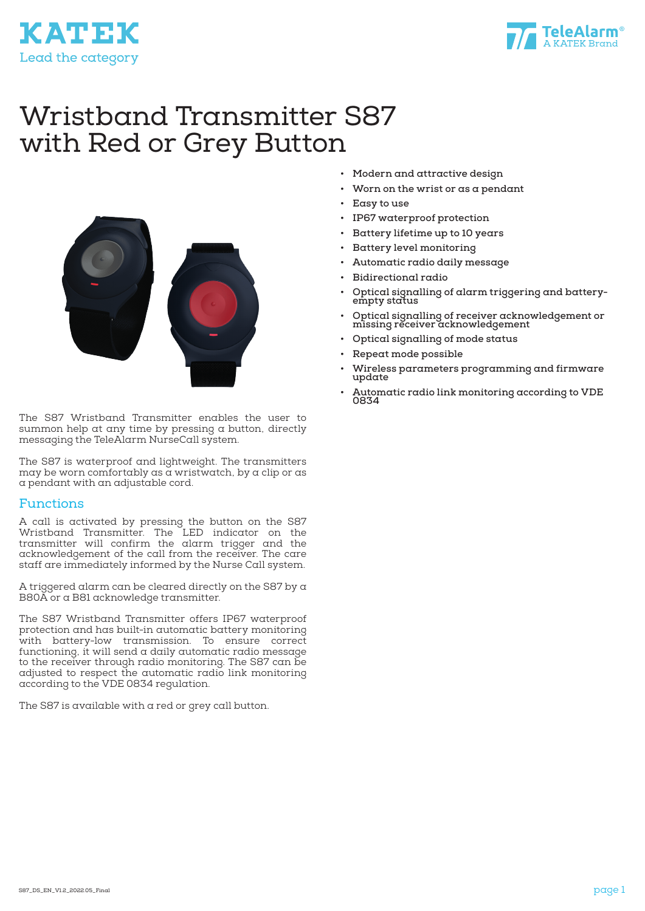

# Wristband Transmitter S87 with Red or Grey Button



The S87 Wristband Transmitter enables the user to summon help at any time by pressing a button, directly messaging the TeleAlarm NurseCall system.

The S87 is waterproof and lightweight. The transmitters may be worn comfortably as  $\alpha$  wristwatch, by a clip or as a pendant with an adjustable cord.

#### Functions

**KATEK** 

Lead the category

A call is activated by pressing the button on the S87 Wristband Transmitter. The LED indicator on the transmitter will confirm the alarm trigger and the acknowledgement of the call from the receiver. The care staff are immediately informed by the Nurse Call system.

A triggered alarm can be cleared directly on the S87 by a B80A or a B81 acknowledge transmitter.

The S87 Wristband Transmitter offers IP67 waterproof protection and has built-in automatic battery monitoring with battery-low transmission. To ensure correct functioning, it will send a daily automatic radio message to the receiver through radio monitoring. The S87 can be adjusted to respect the automatic radio link monitoring according to the VDE 0834 regulation.

The S87 is available with a red or grey call button.

- **• Modern and attractive design**
- **• Worn on the wrist or as a pendant**
- **• Easy to use**
- **• IP67 waterproof protection**
- **• Battery lifetime up to 10 years**
- **• Battery level monitoring**
- **• Automatic radio daily message**
- **• Bidirectional radio**
- **• Optical signalling of alarm triggering and batteryempty status**
- **• Optical signalling of receiver acknowledgement or missing receiver acknowledgement**
- **• Optical signalling of mode status**
- **• Repeat mode possible**
- **• Wireless parameters programming and firmware update**
- **• Automatic radio link monitoring according to VDE 0834**